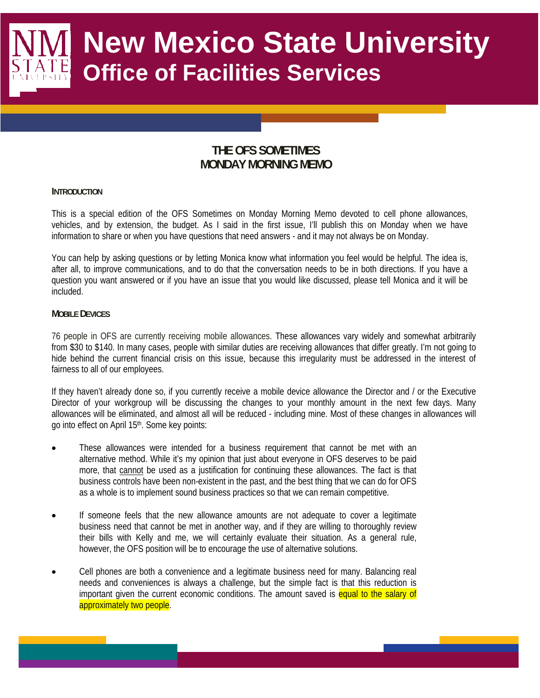# **New Mexico State University Office of Facilities Services**

## **THE OFS SOMETIMES MONDAY MORNING MEMO**

#### **INTRODUCTION**

This is a special edition of the OFS Sometimes on Monday Morning Memo devoted to cell phone allowances, vehicles, and by extension, the budget. As I said in the first issue, I'll publish this on Monday when we have information to share or when you have questions that need answers - and it may not always be on Monday.

You can help by asking questions or by letting Monica know what information you feel would be helpful. The idea is, after all, to improve communications, and to do that the conversation needs to be in both directions. If you have a question you want answered or if you have an issue that you would like discussed, please tell Monica and it will be included.

### **MOBILE DEVICES**

76 people in OFS are currently receiving mobile allowances. These allowances vary widely and somewhat arbitrarily from \$30 to \$140. In many cases, people with similar duties are receiving allowances that differ greatly. I'm not going to hide behind the current financial crisis on this issue, because this irregularity must be addressed in the interest of fairness to all of our employees.

If they haven't already done so, if you currently receive a mobile device allowance the Director and / or the Executive Director of your workgroup will be discussing the changes to your monthly amount in the next few days. Many allowances will be eliminated, and almost all will be reduced - including mine. Most of these changes in allowances will go into effect on April 15th. Some key points:

- These allowances were intended for a business requirement that cannot be met with an alternative method. While it's my opinion that just about everyone in OFS deserves to be paid more, that cannot be used as a justification for continuing these allowances. The fact is that business controls have been non-existent in the past, and the best thing that we can do for OFS as a whole is to implement sound business practices so that we can remain competitive.
- If someone feels that the new allowance amounts are not adequate to cover a legitimate business need that cannot be met in another way, and if they are willing to thoroughly review their bills with Kelly and me, we will certainly evaluate their situation. As a general rule, however, the OFS position will be to encourage the use of alternative solutions.
- Cell phones are both a convenience and a legitimate business need for many. Balancing real needs and conveniences is always a challenge, but the simple fact is that this reduction is important given the current economic conditions. The amount saved is equal to the salary of approximately two people.